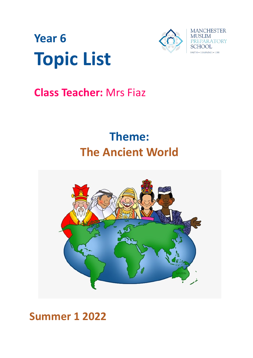



## **Class Teacher:** Mrs Fiaz

# **Theme: The Ancient World**



## **Summer 1 2022**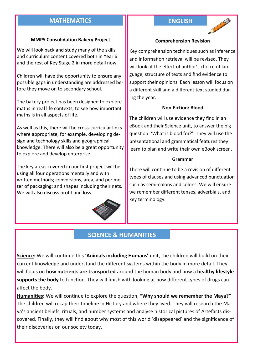#### **MATHEMATICS ENGLISH**

#### **MMPS Consolidation Bakery Project**

We will look back and study many of the skills and curriculum content covered both in Year 6 and the rest of Key Stage 2 in more detail now.

Children will have the opportunity to ensure any possible gaps in understanding are addressed before they move on to secondary school.

The bakery project has been designed to explore maths in real life contexts, to see how important maths is in all aspects of life.

As well as this, there will be cross-curricular links where appropriate, for example, developing design and technology skills and geographical knowledge. There will also be a great opportunity to explore and develop enterprise.

The key areas covered in our first project will be: using all four operations mentally and with written methods; conversions, area, and perimeter of packaging; and shapes including their nets. We will also discuss profit and loss.



#### **Comprehension Revision**

Key comprehension techniques such as inference and information retrieval will be revised. They will look at the effect of author's choice of language, structure of texts and find evidence to support their opinions. Each lesson will focus on a different skill and a different text studied during the year.

#### **Non-Fiction: Blood**

The children will use evidence they find in an eBook and their Science unit, to answer the big question: 'What is blood for?'. They will use the presentational and grammatical features they learn to plan and write their own eBook screen.

#### **Grammar**

There will continue to be a revision of different types of clauses and using advanced punctuation such as semi-colons and colons. We will ensure we remember different tenses, adverbials, and key terminology.

#### **SCIENCE & HUMANITIES**

**Science:** We will continue this '**Animals including Humans'** unit, the children will build on their current knowledge and understand the different systems within the body in more detail. They will focus on **how nutrients are transported** around the human body and how a **healthy lifestyle supports the body** to function. They will finish with looking at how different types of drugs can affect the body.

**Humanities:** We will continue to explore the question, **"Why should we remember the Maya?"** The children will recap their timeline in History and where they lived. They will research the Maya's ancient beliefs, rituals, and number systems and analyse historical pictures of Artefacts discovered. Finally, they will find about why most of this world 'disappeared' and the significance of their discoveries on our society today.